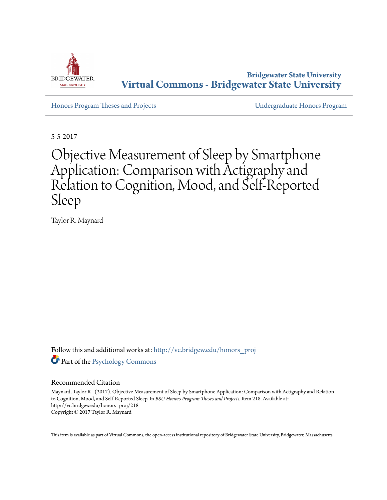

**Bridgewater State University [Virtual Commons - Bridgewater State University](http://vc.bridgew.edu?utm_source=vc.bridgew.edu%2Fhonors_proj%2F218&utm_medium=PDF&utm_campaign=PDFCoverPages)**

[Honors Program Theses and Projects](http://vc.bridgew.edu/honors_proj?utm_source=vc.bridgew.edu%2Fhonors_proj%2F218&utm_medium=PDF&utm_campaign=PDFCoverPages) [Undergraduate Honors Program](http://vc.bridgew.edu/honors?utm_source=vc.bridgew.edu%2Fhonors_proj%2F218&utm_medium=PDF&utm_campaign=PDFCoverPages)

5-5-2017

# Objective Measurement of Sleep by Smartphone Application: Comparison with Actigraphy and Relation to Cognition, Mood, and Self-Reported Sleep

Taylor R. Maynard

Follow this and additional works at: [http://vc.bridgew.edu/honors\\_proj](http://vc.bridgew.edu/honors_proj?utm_source=vc.bridgew.edu%2Fhonors_proj%2F218&utm_medium=PDF&utm_campaign=PDFCoverPages) Part of the [Psychology Commons](http://network.bepress.com/hgg/discipline/404?utm_source=vc.bridgew.edu%2Fhonors_proj%2F218&utm_medium=PDF&utm_campaign=PDFCoverPages)

## Recommended Citation

Maynard, Taylor R.. (2017). Objective Measurement of Sleep by Smartphone Application: Comparison with Actigraphy and Relation to Cognition, Mood, and Self-Reported Sleep. In *BSU Honors Program Theses and Projects.* Item 218. Available at: http://vc.bridgew.edu/honors\_proj/218 Copyright © 2017 Taylor R. Maynard

This item is available as part of Virtual Commons, the open-access institutional repository of Bridgewater State University, Bridgewater, Massachusetts.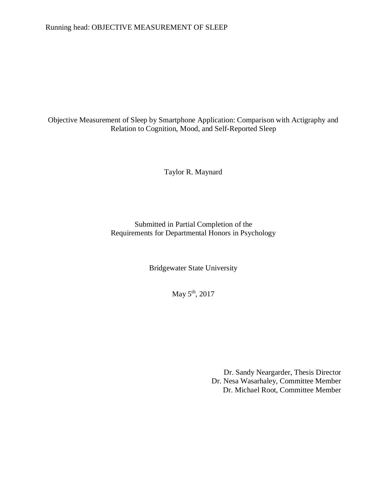# Running head: OBJECTIVE MEASUREMENT OF SLEEP

# Objective Measurement of Sleep by Smartphone Application: Comparison with Actigraphy and Relation to Cognition, Mood, and Self-Reported Sleep

Taylor R. Maynard

Submitted in Partial Completion of the Requirements for Departmental Honors in Psychology

Bridgewater State University

May 5<sup>th</sup>, 2017

Dr. Sandy Neargarder, Thesis Director Dr. Nesa Wasarhaley, Committee Member Dr. Michael Root, Committee Member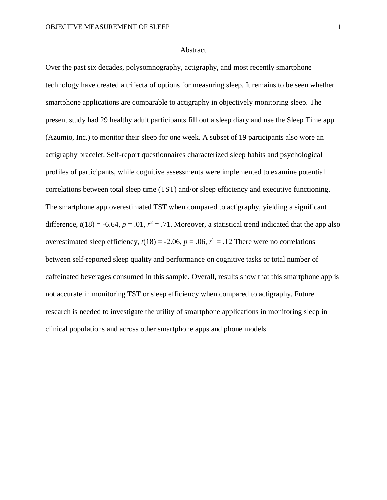#### Abstract

Over the past six decades, polysomnography, actigraphy, and most recently smartphone technology have created a trifecta of options for measuring sleep. It remains to be seen whether smartphone applications are comparable to actigraphy in objectively monitoring sleep. The present study had 29 healthy adult participants fill out a sleep diary and use the Sleep Time app (Azumio, Inc.) to monitor their sleep for one week. A subset of 19 participants also wore an actigraphy bracelet. Self-report questionnaires characterized sleep habits and psychological profiles of participants, while cognitive assessments were implemented to examine potential correlations between total sleep time (TST) and/or sleep efficiency and executive functioning. The smartphone app overestimated TST when compared to actigraphy, yielding a significant difference,  $t(18) = -6.64$ ,  $p = .01$ ,  $r^2 = .71$ . Moreover, a statistical trend indicated that the app also overestimated sleep efficiency,  $t(18) = -2.06$ ,  $p = .06$ ,  $r^2 = .12$  There were no correlations between self-reported sleep quality and performance on cognitive tasks or total number of caffeinated beverages consumed in this sample. Overall, results show that this smartphone app is not accurate in monitoring TST or sleep efficiency when compared to actigraphy. Future research is needed to investigate the utility of smartphone applications in monitoring sleep in clinical populations and across other smartphone apps and phone models.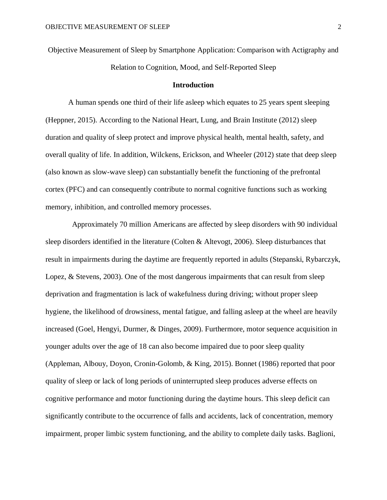Objective Measurement of Sleep by Smartphone Application: Comparison with Actigraphy and Relation to Cognition, Mood, and Self-Reported Sleep

### **Introduction**

A human spends one third of their life asleep which equates to 25 years spent sleeping (Heppner, 2015). According to the National Heart, Lung, and Brain Institute (2012) sleep duration and quality of sleep protect and improve physical health, mental health, safety, and overall quality of life. In addition, Wilckens, Erickson, and Wheeler (2012) state that deep sleep (also known as slow-wave sleep) can substantially benefit the functioning of the prefrontal cortex (PFC) and can consequently contribute to normal cognitive functions such as working memory, inhibition, and controlled memory processes.

 Approximately 70 million Americans are affected by sleep disorders with 90 individual sleep disorders identified in the literature (Colten & Altevogt, 2006). Sleep disturbances that result in impairments during the daytime are frequently reported in adults (Stepanski, Rybarczyk, Lopez, & Stevens, 2003). One of the most dangerous impairments that can result from sleep deprivation and fragmentation is lack of wakefulness during driving; without proper sleep hygiene, the likelihood of drowsiness, mental fatigue, and falling asleep at the wheel are heavily increased (Goel, Hengyi, Durmer, & Dinges, 2009). Furthermore, motor sequence acquisition in younger adults over the age of 18 can also become impaired due to poor sleep quality (Appleman, Albouy, Doyon, Cronin-Golomb, & King, 2015). Bonnet (1986) reported that poor quality of sleep or lack of long periods of uninterrupted sleep produces adverse effects on cognitive performance and motor functioning during the daytime hours. This sleep deficit can significantly contribute to the occurrence of falls and accidents, lack of concentration, memory impairment, proper limbic system functioning, and the ability to complete daily tasks. Baglioni,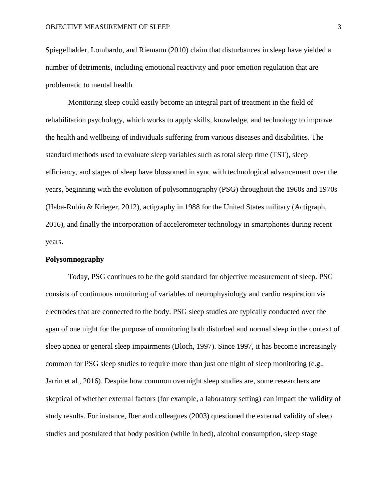Spiegelhalder, Lombardo, and Riemann (2010) claim that disturbances in sleep have yielded a number of detriments, including emotional reactivity and poor emotion regulation that are problematic to mental health.

Monitoring sleep could easily become an integral part of treatment in the field of rehabilitation psychology, which works to apply skills, knowledge, and technology to improve the health and wellbeing of individuals suffering from various diseases and disabilities. The standard methods used to evaluate sleep variables such as total sleep time (TST), sleep efficiency, and stages of sleep have blossomed in sync with technological advancement over the years, beginning with the evolution of polysomnography (PSG) throughout the 1960s and 1970s (Haba-Rubio & Krieger, 2012), actigraphy in 1988 for the United States military (Actigraph, 2016), and finally the incorporation of accelerometer technology in smartphones during recent years.

#### **Polysomnography**

Today, PSG continues to be the gold standard for objective measurement of sleep. PSG consists of continuous monitoring of variables of neurophysiology and cardio respiration via electrodes that are connected to the body. PSG sleep studies are typically conducted over the span of one night for the purpose of monitoring both disturbed and normal sleep in the context of sleep apnea or general sleep impairments (Bloch, 1997). Since 1997, it has become increasingly common for PSG sleep studies to require more than just one night of sleep monitoring (e.g., Jarrin et al., 2016). Despite how common overnight sleep studies are, some researchers are skeptical of whether external factors (for example, a laboratory setting) can impact the validity of study results. For instance, Iber and colleagues (2003) questioned the external validity of sleep studies and postulated that body position (while in bed), alcohol consumption, sleep stage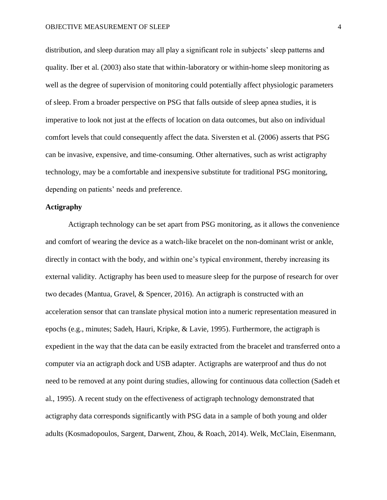distribution, and sleep duration may all play a significant role in subjects' sleep patterns and quality. Iber et al. (2003) also state that within-laboratory or within-home sleep monitoring as well as the degree of supervision of monitoring could potentially affect physiologic parameters of sleep. From a broader perspective on PSG that falls outside of sleep apnea studies, it is imperative to look not just at the effects of location on data outcomes, but also on individual comfort levels that could consequently affect the data. Siversten et al. (2006) asserts that PSG can be invasive, expensive, and time-consuming. Other alternatives, such as wrist actigraphy technology, may be a comfortable and inexpensive substitute for traditional PSG monitoring, depending on patients' needs and preference.

## **Actigraphy**

Actigraph technology can be set apart from PSG monitoring, as it allows the convenience and comfort of wearing the device as a watch-like bracelet on the non-dominant wrist or ankle, directly in contact with the body, and within one's typical environment, thereby increasing its external validity. Actigraphy has been used to measure sleep for the purpose of research for over two decades (Mantua, Gravel, & Spencer, 2016). An actigraph is constructed with an acceleration sensor that can translate physical motion into a numeric representation measured in epochs (e.g., minutes; Sadeh, Hauri, Kripke, & Lavie, 1995). Furthermore, the actigraph is expedient in the way that the data can be easily extracted from the bracelet and transferred onto a computer via an actigraph dock and USB adapter. Actigraphs are waterproof and thus do not need to be removed at any point during studies, allowing for continuous data collection (Sadeh et al., 1995). A recent study on the effectiveness of actigraph technology demonstrated that actigraphy data corresponds significantly with PSG data in a sample of both young and older adults (Kosmadopoulos, Sargent, Darwent, Zhou, & Roach, 2014). Welk, McClain, Eisenmann,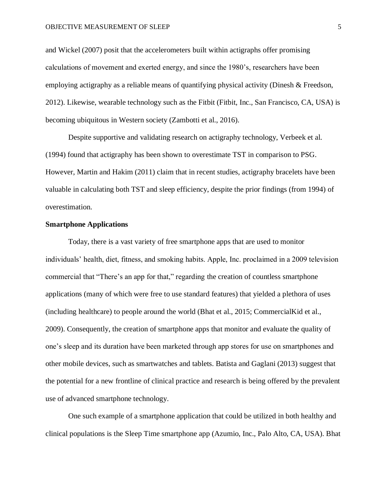and Wickel (2007) posit that the accelerometers built within actigraphs offer promising calculations of movement and exerted energy, and since the 1980's, researchers have been employing actigraphy as a reliable means of quantifying physical activity (Dinesh & Freedson, 2012). Likewise, wearable technology such as the Fitbit (Fitbit, Inc., San Francisco, CA, USA) is becoming ubiquitous in Western society (Zambotti et al., 2016).

Despite supportive and validating research on actigraphy technology, Verbeek et al. (1994) found that actigraphy has been shown to overestimate TST in comparison to PSG. However, Martin and Hakim (2011) claim that in recent studies, actigraphy bracelets have been valuable in calculating both TST and sleep efficiency, despite the prior findings (from 1994) of overestimation.

## **Smartphone Applications**

Today, there is a vast variety of free smartphone apps that are used to monitor individuals' health, diet, fitness, and smoking habits. Apple, Inc. proclaimed in a 2009 television commercial that "There's an app for that," regarding the creation of countless smartphone applications (many of which were free to use standard features) that yielded a plethora of uses (including healthcare) to people around the world (Bhat et al., 2015; CommercialKid et al., 2009). Consequently, the creation of smartphone apps that monitor and evaluate the quality of one's sleep and its duration have been marketed through app stores for use on smartphones and other mobile devices, such as smartwatches and tablets. Batista and Gaglani (2013) suggest that the potential for a new frontline of clinical practice and research is being offered by the prevalent use of advanced smartphone technology.

One such example of a smartphone application that could be utilized in both healthy and clinical populations is the Sleep Time smartphone app (Azumio, Inc., Palo Alto, CA, USA). Bhat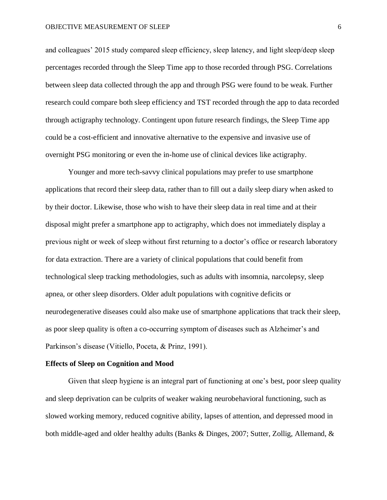and colleagues' 2015 study compared sleep efficiency, sleep latency, and light sleep/deep sleep percentages recorded through the Sleep Time app to those recorded through PSG. Correlations between sleep data collected through the app and through PSG were found to be weak. Further research could compare both sleep efficiency and TST recorded through the app to data recorded through actigraphy technology. Contingent upon future research findings, the Sleep Time app could be a cost-efficient and innovative alternative to the expensive and invasive use of overnight PSG monitoring or even the in-home use of clinical devices like actigraphy.

Younger and more tech-savvy clinical populations may prefer to use smartphone applications that record their sleep data, rather than to fill out a daily sleep diary when asked to by their doctor. Likewise, those who wish to have their sleep data in real time and at their disposal might prefer a smartphone app to actigraphy, which does not immediately display a previous night or week of sleep without first returning to a doctor's office or research laboratory for data extraction. There are a variety of clinical populations that could benefit from technological sleep tracking methodologies, such as adults with insomnia, narcolepsy, sleep apnea, or other sleep disorders. Older adult populations with cognitive deficits or neurodegenerative diseases could also make use of smartphone applications that track their sleep, as poor sleep quality is often a co-occurring symptom of diseases such as Alzheimer's and Parkinson's disease (Vitiello, Poceta, & Prinz, 1991).

#### **Effects of Sleep on Cognition and Mood**

Given that sleep hygiene is an integral part of functioning at one's best, poor sleep quality and sleep deprivation can be culprits of weaker waking neurobehavioral functioning, such as slowed working memory, reduced cognitive ability, lapses of attention, and depressed mood in both middle-aged and older healthy adults (Banks & Dinges, 2007; Sutter, Zollig, Allemand, &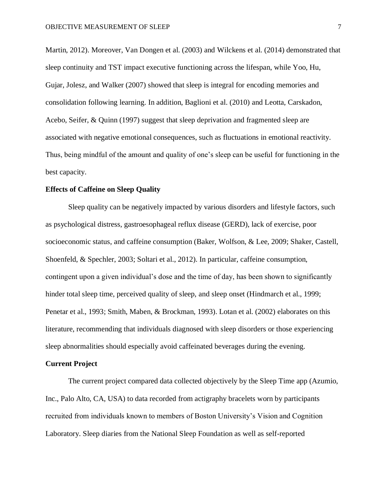Martin, 2012). Moreover, Van Dongen et al. (2003) and Wilckens et al. (2014) demonstrated that sleep continuity and TST impact executive functioning across the lifespan, while Yoo, Hu, Gujar, Jolesz, and Walker (2007) showed that sleep is integral for encoding memories and consolidation following learning. In addition, Baglioni et al. (2010) and Leotta, Carskadon, Acebo, Seifer, & Quinn (1997) suggest that sleep deprivation and fragmented sleep are associated with negative emotional consequences, such as fluctuations in emotional reactivity. Thus, being mindful of the amount and quality of one's sleep can be useful for functioning in the best capacity.

#### **Effects of Caffeine on Sleep Quality**

Sleep quality can be negatively impacted by various disorders and lifestyle factors, such as psychological distress, gastroesophageal reflux disease (GERD), lack of exercise, poor socioeconomic status, and caffeine consumption (Baker, Wolfson, & Lee, 2009; Shaker, Castell, Shoenfeld, & Spechler, 2003; Soltari et al., 2012). In particular, caffeine consumption, contingent upon a given individual's dose and the time of day, has been shown to significantly hinder total sleep time, perceived quality of sleep, and sleep onset (Hindmarch et al., 1999; Penetar et al., 1993; Smith, Maben, & Brockman, 1993). Lotan et al. (2002) elaborates on this literature, recommending that individuals diagnosed with sleep disorders or those experiencing sleep abnormalities should especially avoid caffeinated beverages during the evening.

## **Current Project**

The current project compared data collected objectively by the Sleep Time app (Azumio, Inc., Palo Alto, CA, USA) to data recorded from actigraphy bracelets worn by participants recruited from individuals known to members of Boston University's Vision and Cognition Laboratory. Sleep diaries from the National Sleep Foundation as well as self-reported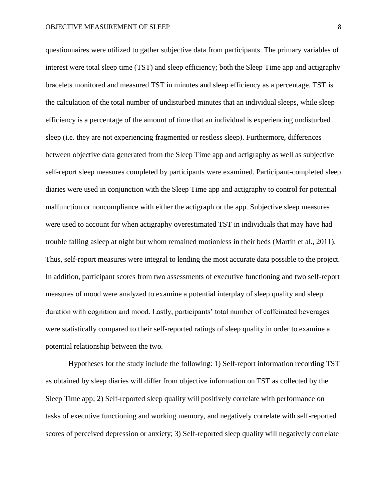questionnaires were utilized to gather subjective data from participants. The primary variables of interest were total sleep time (TST) and sleep efficiency; both the Sleep Time app and actigraphy bracelets monitored and measured TST in minutes and sleep efficiency as a percentage. TST is the calculation of the total number of undisturbed minutes that an individual sleeps, while sleep efficiency is a percentage of the amount of time that an individual is experiencing undisturbed sleep (i.e. they are not experiencing fragmented or restless sleep). Furthermore, differences between objective data generated from the Sleep Time app and actigraphy as well as subjective self-report sleep measures completed by participants were examined. Participant-completed sleep diaries were used in conjunction with the Sleep Time app and actigraphy to control for potential malfunction or noncompliance with either the actigraph or the app. Subjective sleep measures were used to account for when actigraphy overestimated TST in individuals that may have had trouble falling asleep at night but whom remained motionless in their beds (Martin et al., 2011). Thus, self-report measures were integral to lending the most accurate data possible to the project. In addition, participant scores from two assessments of executive functioning and two self-report measures of mood were analyzed to examine a potential interplay of sleep quality and sleep duration with cognition and mood. Lastly, participants' total number of caffeinated beverages were statistically compared to their self-reported ratings of sleep quality in order to examine a potential relationship between the two.

Hypotheses for the study include the following: 1) Self-report information recording TST as obtained by sleep diaries will differ from objective information on TST as collected by the Sleep Time app; 2) Self-reported sleep quality will positively correlate with performance on tasks of executive functioning and working memory, and negatively correlate with self-reported scores of perceived depression or anxiety; 3) Self-reported sleep quality will negatively correlate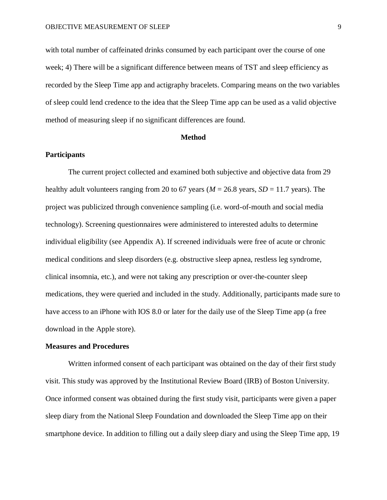with total number of caffeinated drinks consumed by each participant over the course of one week; 4) There will be a significant difference between means of TST and sleep efficiency as recorded by the Sleep Time app and actigraphy bracelets. Comparing means on the two variables of sleep could lend credence to the idea that the Sleep Time app can be used as a valid objective method of measuring sleep if no significant differences are found.

#### **Method**

## **Participants**

The current project collected and examined both subjective and objective data from 29 healthy adult volunteers ranging from 20 to 67 years ( $M = 26.8$  years,  $SD = 11.7$  years). The project was publicized through convenience sampling (i.e. word-of-mouth and social media technology). Screening questionnaires were administered to interested adults to determine individual eligibility (see Appendix A). If screened individuals were free of acute or chronic medical conditions and sleep disorders (e.g. obstructive sleep apnea, restless leg syndrome, clinical insomnia, etc.), and were not taking any prescription or over-the-counter sleep medications, they were queried and included in the study. Additionally, participants made sure to have access to an iPhone with IOS 8.0 or later for the daily use of the Sleep Time app (a free download in the Apple store).

## **Measures and Procedures**

Written informed consent of each participant was obtained on the day of their first study visit. This study was approved by the Institutional Review Board (IRB) of Boston University. Once informed consent was obtained during the first study visit, participants were given a paper sleep diary from the National Sleep Foundation and downloaded the Sleep Time app on their smartphone device. In addition to filling out a daily sleep diary and using the Sleep Time app, 19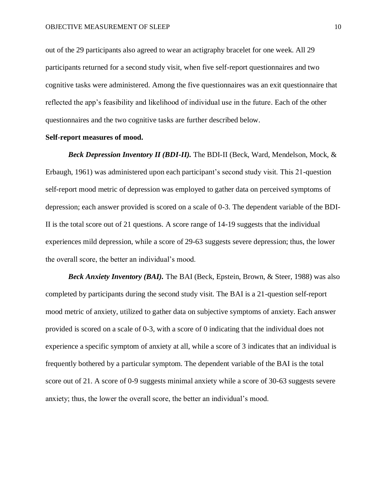out of the 29 participants also agreed to wear an actigraphy bracelet for one week. All 29 participants returned for a second study visit, when five self-report questionnaires and two cognitive tasks were administered. Among the five questionnaires was an exit questionnaire that reflected the app's feasibility and likelihood of individual use in the future. Each of the other questionnaires and the two cognitive tasks are further described below.

## **Self-report measures of mood.**

*Beck Depression Inventory II (BDI-II).* The BDI-II (Beck, Ward, Mendelson, Mock, & Erbaugh, 1961) was administered upon each participant's second study visit. This 21-question self-report mood metric of depression was employed to gather data on perceived symptoms of depression; each answer provided is scored on a scale of 0-3. The dependent variable of the BDI-II is the total score out of 21 questions. A score range of 14-19 suggests that the individual experiences mild depression, while a score of 29-63 suggests severe depression; thus, the lower the overall score, the better an individual's mood.

*Beck Anxiety Inventory (BAI).* The BAI (Beck, Epstein, Brown, & Steer, 1988) was also completed by participants during the second study visit. The BAI is a 21-question self-report mood metric of anxiety, utilized to gather data on subjective symptoms of anxiety. Each answer provided is scored on a scale of 0-3, with a score of 0 indicating that the individual does not experience a specific symptom of anxiety at all, while a score of 3 indicates that an individual is frequently bothered by a particular symptom. The dependent variable of the BAI is the total score out of 21. A score of 0-9 suggests minimal anxiety while a score of 30-63 suggests severe anxiety; thus, the lower the overall score, the better an individual's mood.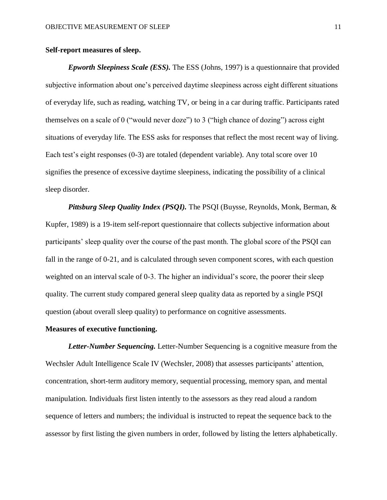## **Self-report measures of sleep.**

*Epworth Sleepiness Scale (ESS).* The ESS (Johns, 1997) is a questionnaire that provided subjective information about one's perceived daytime sleepiness across eight different situations of everyday life, such as reading, watching TV, or being in a car during traffic. Participants rated themselves on a scale of 0 ("would never doze") to 3 ("high chance of dozing") across eight situations of everyday life. The ESS asks for responses that reflect the most recent way of living. Each test's eight responses (0-3) are totaled (dependent variable). Any total score over 10 signifies the presence of excessive daytime sleepiness, indicating the possibility of a clinical sleep disorder.

*Pittsburg Sleep Quality Index (PSQI).* The PSQI (Buysse, Reynolds, Monk, Berman, & Kupfer, 1989) is a 19-item self-report questionnaire that collects subjective information about participants' sleep quality over the course of the past month. The global score of the PSQI can fall in the range of 0-21, and is calculated through seven component scores, with each question weighted on an interval scale of 0-3. The higher an individual's score, the poorer their sleep quality. The current study compared general sleep quality data as reported by a single PSQI question (about overall sleep quality) to performance on cognitive assessments.

## **Measures of executive functioning.**

*Letter-Number Sequencing.* Letter-Number Sequencing is a cognitive measure from the Wechsler Adult Intelligence Scale IV (Wechsler, 2008) that assesses participants' attention, concentration, short-term auditory memory, sequential processing, memory span, and mental manipulation. Individuals first listen intently to the assessors as they read aloud a random sequence of letters and numbers; the individual is instructed to repeat the sequence back to the assessor by first listing the given numbers in order, followed by listing the letters alphabetically.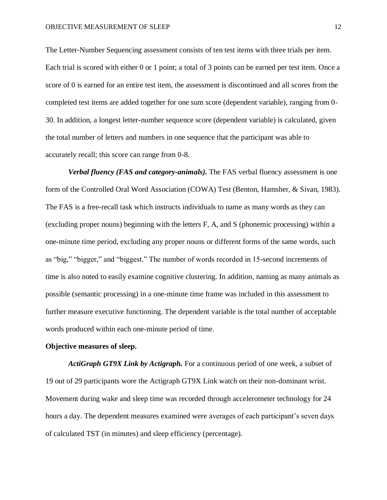The Letter-Number Sequencing assessment consists of ten test items with three trials per item. Each trial is scored with either 0 or 1 point; a total of 3 points can be earned per test item. Once a score of 0 is earned for an entire test item, the assessment is discontinued and all scores from the completed test items are added together for one sum score (dependent variable), ranging from 0- 30. In addition, a longest letter-number sequence score (dependent variable) is calculated, given the total number of letters and numbers in one sequence that the participant was able to accurately recall; this score can range from 0-8.

*Verbal fluency (FAS and category-animals).* The FAS verbal fluency assessment is one form of the Controlled Oral Word Association (COWA) Test (Benton, Hamsher, & Sivan, 1983). The FAS is a free-recall task which instructs individuals to name as many words as they can (excluding proper nouns) beginning with the letters F, A, and S (phonemic processing) within a one-minute time period, excluding any proper nouns or different forms of the same words, such as "big," "bigger," and "biggest." The number of words recorded in 15-second increments of time is also noted to easily examine cognitive clustering. In addition, naming as many animals as possible (semantic processing) in a one-minute time frame was included in this assessment to further measure executive functioning. The dependent variable is the total number of acceptable words produced within each one-minute period of time.

### **Objective measures of sleep.**

*ActiGraph GT9X Link by Actigraph.* For a continuous period of one week, a subset of 19 out of 29 participants wore the Actigraph GT9X Link watch on their non-dominant wrist. Movement during wake and sleep time was recorded through accelerometer technology for 24 hours a day. The dependent measures examined were averages of each participant's seven days of calculated TST (in minutes) and sleep efficiency (percentage).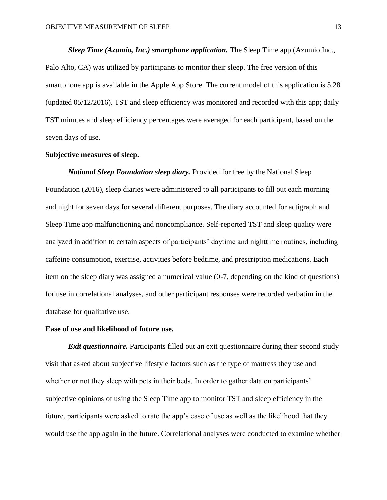*Sleep Time (Azumio, Inc.) smartphone application.* The Sleep Time app (Azumio Inc., Palo Alto, CA) was utilized by participants to monitor their sleep. The free version of this smartphone app is available in the Apple App Store. The current model of this application is 5.28 (updated 05/12/2016). TST and sleep efficiency was monitored and recorded with this app; daily TST minutes and sleep efficiency percentages were averaged for each participant, based on the seven days of use.

## **Subjective measures of sleep.**

*National Sleep Foundation sleep diary.* Provided for free by the National Sleep Foundation (2016), sleep diaries were administered to all participants to fill out each morning and night for seven days for several different purposes. The diary accounted for actigraph and Sleep Time app malfunctioning and noncompliance. Self-reported TST and sleep quality were analyzed in addition to certain aspects of participants' daytime and nighttime routines, including caffeine consumption, exercise, activities before bedtime, and prescription medications. Each item on the sleep diary was assigned a numerical value (0-7, depending on the kind of questions) for use in correlational analyses, and other participant responses were recorded verbatim in the database for qualitative use.

#### **Ease of use and likelihood of future use.**

**Exit questionnaire.** Participants filled out an exit questionnaire during their second study visit that asked about subjective lifestyle factors such as the type of mattress they use and whether or not they sleep with pets in their beds. In order to gather data on participants' subjective opinions of using the Sleep Time app to monitor TST and sleep efficiency in the future, participants were asked to rate the app's ease of use as well as the likelihood that they would use the app again in the future. Correlational analyses were conducted to examine whether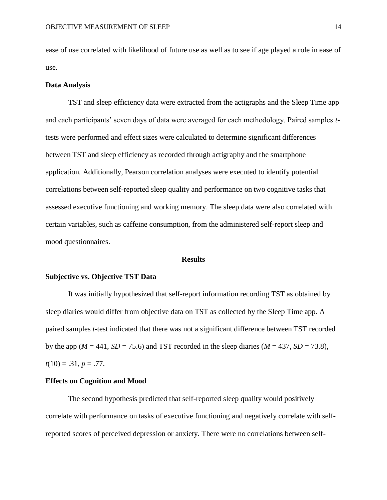ease of use correlated with likelihood of future use as well as to see if age played a role in ease of use.

#### **Data Analysis**

TST and sleep efficiency data were extracted from the actigraphs and the Sleep Time app and each participants' seven days of data were averaged for each methodology. Paired samples *t*tests were performed and effect sizes were calculated to determine significant differences between TST and sleep efficiency as recorded through actigraphy and the smartphone application. Additionally, Pearson correlation analyses were executed to identify potential correlations between self-reported sleep quality and performance on two cognitive tasks that assessed executive functioning and working memory. The sleep data were also correlated with certain variables, such as caffeine consumption, from the administered self-report sleep and mood questionnaires.

#### **Results**

#### **Subjective vs. Objective TST Data**

It was initially hypothesized that self-report information recording TST as obtained by sleep diaries would differ from objective data on TST as collected by the Sleep Time app. A paired samples *t*-test indicated that there was not a significant difference between TST recorded by the app ( $M = 441$ ,  $SD = 75.6$ ) and TST recorded in the sleep diaries ( $M = 437$ ,  $SD = 73.8$ ),  $t(10) = .31, p = .77.$ 

#### **Effects on Cognition and Mood**

The second hypothesis predicted that self-reported sleep quality would positively correlate with performance on tasks of executive functioning and negatively correlate with selfreported scores of perceived depression or anxiety. There were no correlations between self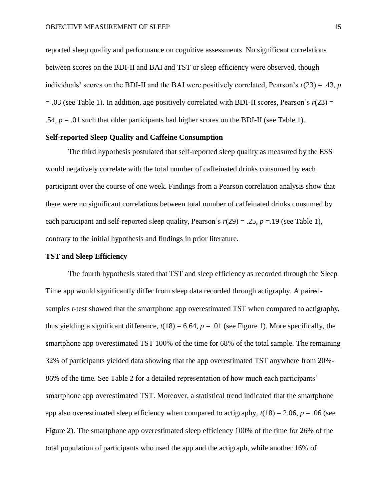reported sleep quality and performance on cognitive assessments. No significant correlations between scores on the BDI-II and BAI and TST or sleep efficiency were observed, though individuals' scores on the BDI-II and the BAI were positively correlated, Pearson's *r*(23) = .43, *p*  $= .03$  (see Table 1). In addition, age positively correlated with BDI-II scores, Pearson's  $r(23) =$ .54,  $p = .01$  such that older participants had higher scores on the BDI-II (see Table 1).

## **Self-reported Sleep Quality and Caffeine Consumption**

The third hypothesis postulated that self-reported sleep quality as measured by the ESS would negatively correlate with the total number of caffeinated drinks consumed by each participant over the course of one week. Findings from a Pearson correlation analysis show that there were no significant correlations between total number of caffeinated drinks consumed by each participant and self-reported sleep quality, Pearson's  $r(29) = .25$ ,  $p = .19$  (see Table 1), contrary to the initial hypothesis and findings in prior literature.

#### **TST and Sleep Efficiency**

The fourth hypothesis stated that TST and sleep efficiency as recorded through the Sleep Time app would significantly differ from sleep data recorded through actigraphy. A pairedsamples *t*-test showed that the smartphone app overestimated TST when compared to actigraphy, thus yielding a significant difference,  $t(18) = 6.64$ ,  $p = .01$  (see Figure 1). More specifically, the smartphone app overestimated TST 100% of the time for 68% of the total sample. The remaining 32% of participants yielded data showing that the app overestimated TST anywhere from 20%- 86% of the time. See Table 2 for a detailed representation of how much each participants' smartphone app overestimated TST. Moreover, a statistical trend indicated that the smartphone app also overestimated sleep efficiency when compared to actigraphy,  $t(18) = 2.06$ ,  $p = .06$  (see Figure 2). The smartphone app overestimated sleep efficiency 100% of the time for 26% of the total population of participants who used the app and the actigraph, while another 16% of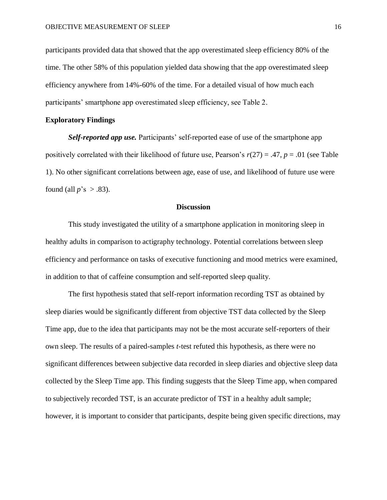participants provided data that showed that the app overestimated sleep efficiency 80% of the time. The other 58% of this population yielded data showing that the app overestimated sleep efficiency anywhere from 14%-60% of the time. For a detailed visual of how much each participants' smartphone app overestimated sleep efficiency, see Table 2.

## **Exploratory Findings**

*Self-reported app use.* Participants' self-reported ease of use of the smartphone app positively correlated with their likelihood of future use, Pearson's  $r(27) = .47$ ,  $p = .01$  (see Table 1). No other significant correlations between age, ease of use, and likelihood of future use were found (all  $p$ 's  $> .83$ ).

#### **Discussion**

This study investigated the utility of a smartphone application in monitoring sleep in healthy adults in comparison to actigraphy technology. Potential correlations between sleep efficiency and performance on tasks of executive functioning and mood metrics were examined, in addition to that of caffeine consumption and self-reported sleep quality.

The first hypothesis stated that self-report information recording TST as obtained by sleep diaries would be significantly different from objective TST data collected by the Sleep Time app, due to the idea that participants may not be the most accurate self-reporters of their own sleep. The results of a paired-samples *t*-test refuted this hypothesis, as there were no significant differences between subjective data recorded in sleep diaries and objective sleep data collected by the Sleep Time app. This finding suggests that the Sleep Time app, when compared to subjectively recorded TST, is an accurate predictor of TST in a healthy adult sample; however, it is important to consider that participants, despite being given specific directions, may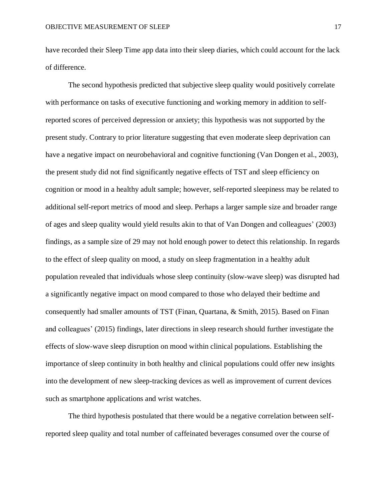have recorded their Sleep Time app data into their sleep diaries, which could account for the lack of difference.

The second hypothesis predicted that subjective sleep quality would positively correlate with performance on tasks of executive functioning and working memory in addition to selfreported scores of perceived depression or anxiety; this hypothesis was not supported by the present study. Contrary to prior literature suggesting that even moderate sleep deprivation can have a negative impact on neurobehavioral and cognitive functioning (Van Dongen et al., 2003), the present study did not find significantly negative effects of TST and sleep efficiency on cognition or mood in a healthy adult sample; however, self-reported sleepiness may be related to additional self-report metrics of mood and sleep. Perhaps a larger sample size and broader range of ages and sleep quality would yield results akin to that of Van Dongen and colleagues' (2003) findings, as a sample size of 29 may not hold enough power to detect this relationship. In regards to the effect of sleep quality on mood, a study on sleep fragmentation in a healthy adult population revealed that individuals whose sleep continuity (slow-wave sleep) was disrupted had a significantly negative impact on mood compared to those who delayed their bedtime and consequently had smaller amounts of TST (Finan, Quartana, & Smith, 2015). Based on Finan and colleagues' (2015) findings, later directions in sleep research should further investigate the effects of slow-wave sleep disruption on mood within clinical populations. Establishing the importance of sleep continuity in both healthy and clinical populations could offer new insights into the development of new sleep-tracking devices as well as improvement of current devices such as smartphone applications and wrist watches.

The third hypothesis postulated that there would be a negative correlation between selfreported sleep quality and total number of caffeinated beverages consumed over the course of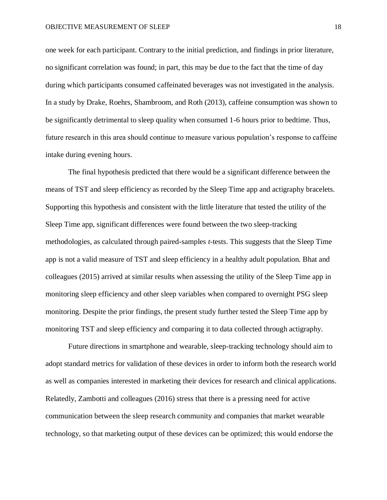one week for each participant. Contrary to the initial prediction, and findings in prior literature, no significant correlation was found; in part, this may be due to the fact that the time of day during which participants consumed caffeinated beverages was not investigated in the analysis. In a study by Drake, Roehrs, Shambroom, and Roth (2013), caffeine consumption was shown to be significantly detrimental to sleep quality when consumed 1-6 hours prior to bedtime. Thus, future research in this area should continue to measure various population's response to caffeine intake during evening hours.

The final hypothesis predicted that there would be a significant difference between the means of TST and sleep efficiency as recorded by the Sleep Time app and actigraphy bracelets. Supporting this hypothesis and consistent with the little literature that tested the utility of the Sleep Time app, significant differences were found between the two sleep-tracking methodologies, as calculated through paired-samples *t*-tests. This suggests that the Sleep Time app is not a valid measure of TST and sleep efficiency in a healthy adult population. Bhat and colleagues (2015) arrived at similar results when assessing the utility of the Sleep Time app in monitoring sleep efficiency and other sleep variables when compared to overnight PSG sleep monitoring. Despite the prior findings, the present study further tested the Sleep Time app by monitoring TST and sleep efficiency and comparing it to data collected through actigraphy.

Future directions in smartphone and wearable, sleep-tracking technology should aim to adopt standard metrics for validation of these devices in order to inform both the research world as well as companies interested in marketing their devices for research and clinical applications. Relatedly, Zambotti and colleagues (2016) stress that there is a pressing need for active communication between the sleep research community and companies that market wearable technology, so that marketing output of these devices can be optimized; this would endorse the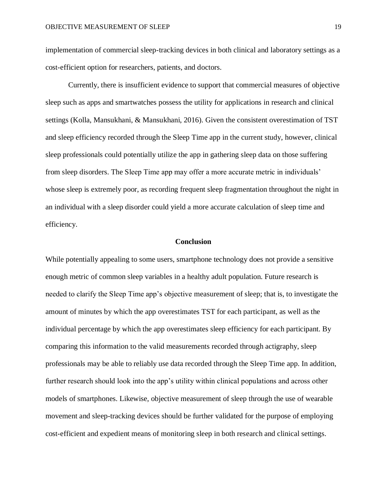implementation of commercial sleep-tracking devices in both clinical and laboratory settings as a cost-efficient option for researchers, patients, and doctors.

Currently, there is insufficient evidence to support that commercial measures of objective sleep such as apps and smartwatches possess the utility for applications in research and clinical settings (Kolla, Mansukhani, & Mansukhani, 2016). Given the consistent overestimation of TST and sleep efficiency recorded through the Sleep Time app in the current study, however, clinical sleep professionals could potentially utilize the app in gathering sleep data on those suffering from sleep disorders. The Sleep Time app may offer a more accurate metric in individuals' whose sleep is extremely poor, as recording frequent sleep fragmentation throughout the night in an individual with a sleep disorder could yield a more accurate calculation of sleep time and efficiency.

#### **Conclusion**

While potentially appealing to some users, smartphone technology does not provide a sensitive enough metric of common sleep variables in a healthy adult population. Future research is needed to clarify the Sleep Time app's objective measurement of sleep; that is, to investigate the amount of minutes by which the app overestimates TST for each participant, as well as the individual percentage by which the app overestimates sleep efficiency for each participant. By comparing this information to the valid measurements recorded through actigraphy, sleep professionals may be able to reliably use data recorded through the Sleep Time app. In addition, further research should look into the app's utility within clinical populations and across other models of smartphones. Likewise, objective measurement of sleep through the use of wearable movement and sleep-tracking devices should be further validated for the purpose of employing cost-efficient and expedient means of monitoring sleep in both research and clinical settings.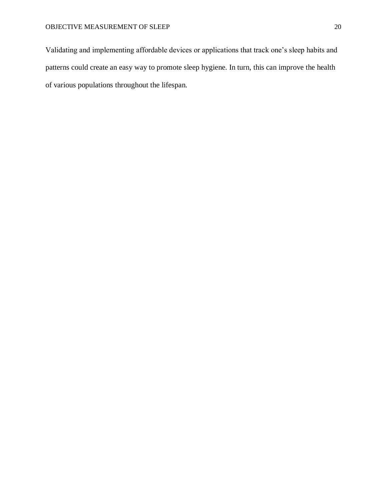Validating and implementing affordable devices or applications that track one's sleep habits and patterns could create an easy way to promote sleep hygiene. In turn, this can improve the health of various populations throughout the lifespan.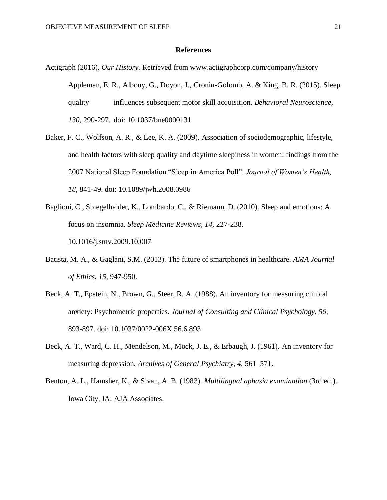#### **References**

- Actigraph (2016). *Our History.* Retrieved from www.actigraphcorp.com/company/history Appleman, E. R., Albouy, G., Doyon, J., Cronin-Golomb, A. & King, B. R. (2015). Sleep quality influences subsequent motor skill acquisition. *Behavioral Neuroscience, 130,* 290-297. doi: 10.1037/bne0000131
- Baker, F. C., Wolfson, A. R., & Lee, K. A. (2009). Association of sociodemographic, lifestyle, and health factors with sleep quality and daytime sleepiness in women: findings from the 2007 National Sleep Foundation "Sleep in America Poll". *Journal of Women's Health, 18,* 841-49. doi: 10.1089/jwh.2008.0986
- Baglioni, C., Spiegelhalder, K., Lombardo, C., & Riemann, D. (2010). Sleep and emotions: A focus on insomnia. *Sleep Medicine Reviews, 14,* 227-238. 10.1016/j.smv.2009.10.007
- Batista, M. A., & Gaglani, S.M. (2013). The future of smartphones in healthcare. *AMA Journal of Ethics, 15,* 947-950.
- Beck, A. T., Epstein, N., Brown, G., Steer, R. A. (1988). An inventory for measuring clinical anxiety: Psychometric properties. *Journal of Consulting and Clinical Psychology, 56,* 893-897. doi: 10.1037/0022-006X.56.6.893
- Beck, A. T., Ward, C. H., Mendelson, M., Mock, J. E., & Erbaugh, J. (1961). An inventory for measuring depression. *Archives of General Psychiatry, 4,* 561–571.
- Benton, A. L., Hamsher, K., & Sivan, A. B. (1983). *Multilingual aphasia examination* (3rd ed.). Iowa City, IA: AJA Associates.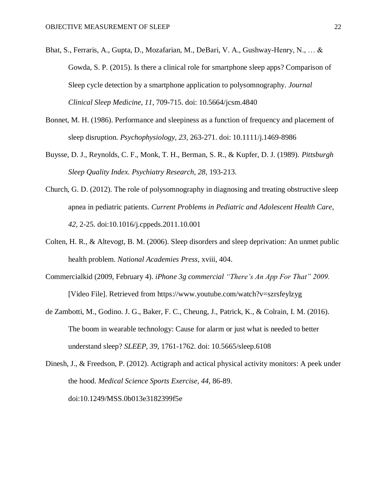- Bhat, S., Ferraris, A., Gupta, D., Mozafarian, M., DeBari, V. A., Gushway-Henry, N., … & Gowda, S. P. (2015). Is there a clinical role for smartphone sleep apps? Comparison of Sleep cycle detection by a smartphone application to polysomnography. *Journal Clinical Sleep Medicine, 11,* 709-715. doi: 10.5664/jcsm.4840
- Bonnet, M. H. (1986). Performance and sleepiness as a function of frequency and placement of sleep disruption. *Psychophysiology, 23,* 263-271. doi: 10.1111/j.1469-8986
- Buysse, D. J., Reynolds, C. F., Monk, T. H., Berman, S. R., & Kupfer, D. J. (1989). *Pittsburgh Sleep Quality Index. Psychiatry Research, 28,* 193-213.
- Church, G. D. (2012). The role of polysomnography in diagnosing and treating obstructive sleep apnea in pediatric patients. *Current Problems in Pediatric and Adolescent Health Care, 42,* 2-25. doi:10.1016/j.cppeds.2011.10.001
- Colten, H. R., & Altevogt, B. M. (2006). Sleep disorders and sleep deprivation: An unmet public health problem. *National Academies Press,* xviii, 404.
- Commercialkid (2009, February 4). *iPhone 3g commercial "There's An App For That" 2009.* [Video File]. Retrieved from https://www.youtube.com/watch?v=szrsfeylzyg
- de Zambotti, M., Godino. J. G., Baker, F. C., Cheung, J., Patrick, K., & Colrain, I. M. (2016). The boom in wearable technology: Cause for alarm or just what is needed to better understand sleep? *SLEEP, 39,* 1761-1762. doi: 10.5665/sleep.6108
- Dinesh, J., & Freedson, P. (2012). Actigraph and actical physical activity monitors: A peek under the hood. *Medical Science Sports Exercise, 44,* 86-89. doi:10.1249/MSS.0b013e3182399f5e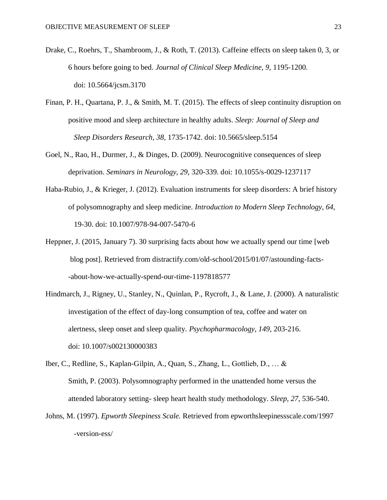- Drake, C., Roehrs, T., Shambroom, J., & Roth, T. (2013). Caffeine effects on sleep taken 0, 3, or 6 hours before going to bed. *Journal of Clinical Sleep Medicine, 9,* 1195-1200. doi: 10.5664/jcsm.3170
- Finan, P. H., Quartana, P. J., & Smith, M. T. (2015). The effects of sleep continuity disruption on positive mood and sleep architecture in healthy adults. *Sleep: Journal of Sleep and Sleep Disorders Research, 38,* 1735-1742. doi: 10.5665/sleep.5154
- Goel, N., Rao, H., Durmer, J., & Dinges, D. (2009). Neurocognitive consequences of sleep deprivation. *Seminars in Neurology, 29,* 320-339. doi: 10.1055/s-0029-1237117
- Haba-Rubio, J., & Krieger, J. (2012). Evaluation instruments for sleep disorders: A brief history of polysomnography and sleep medicine. *Introduction to Modern Sleep Technology, 64,* 19-30. doi: 10.1007/978-94-007-5470-6
- Heppner, J. (2015, January 7). 30 surprising facts about how we actually spend our time [web blog post]. Retrieved from distractify.com/old-school/2015/01/07/astounding-facts- -about-how-we-actually-spend-our-time-1197818577
- Hindmarch, J., Rigney, U., Stanley, N., Quinlan, P., Rycroft, J., & Lane, J. (2000). A naturalistic investigation of the effect of day-long consumption of tea, coffee and water on alertness, sleep onset and sleep quality. *Psychopharmacology, 149,* 203-216. doi: 10.1007/s002130000383
- Iber, C., Redline, S., Kaplan-Gilpin, A., Quan, S., Zhang, L., Gottlieb, D., … & Smith, P. (2003). Polysomnography performed in the unattended home versus the attended laboratory setting- sleep heart health study methodology. *Sleep, 27,* 536-540.
- Johns, M. (1997). *Epworth Sleepiness Scale.* Retrieved from epworthsleepinessscale.com/1997 -version-ess/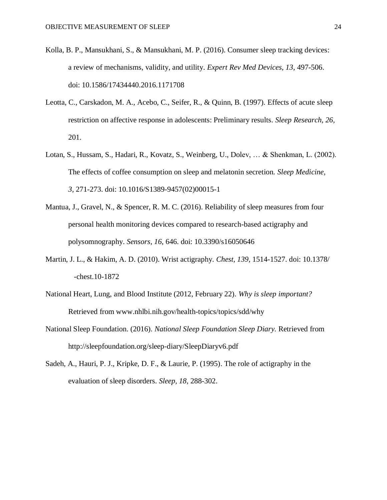- Kolla, B. P., Mansukhani, S., & Mansukhani, M. P. (2016). Consumer sleep tracking devices: a review of mechanisms, validity, and utility. *Expert Rev Med Devices, 13,* 497-506. doi: 10.1586/17434440.2016.1171708
- Leotta, C., Carskadon, M. A., Acebo, C., Seifer, R., & Quinn, B. (1997). Effects of acute sleep restriction on affective response in adolescents: Preliminary results. *Sleep Research, 26,* 201.
- Lotan, S., Hussam, S., Hadari, R., Kovatz, S., Weinberg, U., Dolev, … & Shenkman, L. (2002). The effects of coffee consumption on sleep and melatonin secretion. *Sleep Medicine, 3,* 271-273. doi: 10.1016/S1389-9457(02)00015-1
- Mantua, J., Gravel, N., & Spencer, R. M. C. (2016). Reliability of sleep measures from four personal health monitoring devices compared to research-based actigraphy and polysomnography. *Sensors, 16,* 646. doi: 10.3390/s16050646
- Martin, J. L., & Hakim, A. D. (2010). Wrist actigraphy. *Chest, 139,* 1514-1527. doi: 10.1378/ -chest.10-1872
- National Heart, Lung, and Blood Institute (2012, February 22). *Why is sleep important?* Retrieved from www.nhlbi.nih.gov/health-topics/topics/sdd/why
- National Sleep Foundation. (2016). *National Sleep Foundation Sleep Diary.* Retrieved from http://sleepfoundation.org/sleep-diary/SleepDiaryv6.pdf
- Sadeh, A., Hauri, P. J., Kripke, D. F., & Laurie, P. (1995). The role of actigraphy in the evaluation of sleep disorders. *Sleep, 18,* 288-302.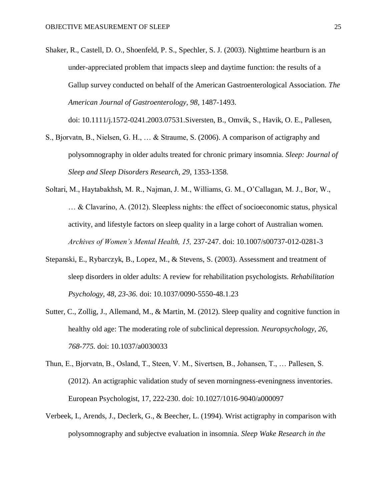Shaker, R., Castell, D. O., Shoenfeld, P. S., Spechler, S. J. (2003). Nighttime heartburn is an under-appreciated problem that impacts sleep and daytime function: the results of a Gallup survey conducted on behalf of the American Gastroenterological Association. *The American Journal of Gastroenterology, 98,* 1487-1493.

doi: 10.1111/j.1572-0241.2003.07531.Siversten, B., Omvik, S., Havik, O. E., Pallesen,

- S., Bjorvatn, B., Nielsen, G. H., … & Straume, S. (2006). A comparison of actigraphy and polysomnography in older adults treated for chronic primary insomnia. *Sleep: Journal of Sleep and Sleep Disorders Research, 29,* 1353-1358*.*
- Soltari, M., Haytabakhsh, M. R., Najman, J. M., Williams, G. M., O'Callagan, M. J., Bor, W., … & Clavarino, A. (2012). Sleepless nights: the effect of socioeconomic status, physical activity, and lifestyle factors on sleep quality in a large cohort of Australian women. *Archives of Women's Mental Health, 15,* 237-247. doi: 10.1007/s00737-012-0281-3
- Stepanski, E., Rybarczyk, B., Lopez, M., & Stevens, S. (2003). Assessment and treatment of sleep disorders in older adults: A review for rehabilitation psychologists. *Rehabilitation Psychology, 48, 23-36.* doi: 10.1037/0090-5550-48.1.23
- Sutter, C., Zollig, J., Allemand, M., & Martin, M. (2012). Sleep quality and cognitive function in healthy old age: The moderating role of subclinical depression. *Neuropsychology, 26, 768-775.* doi: 10.1037/a0030033
- Thun, E., Bjorvatn, B., Osland, T., Steen, V. M., Sivertsen, B., Johansen, T., … Pallesen, S. (2012). An actigraphic validation study of seven morningness-eveningness inventories. European Psychologist, 17, 222-230. doi: 10.1027/1016-9040/a000097
- Verbeek, I., Arends, J., Declerk, G., & Beecher, L. (1994). Wrist actigraphy in comparison with polysomnography and subjectve evaluation in insomnia. *Sleep Wake Research in the*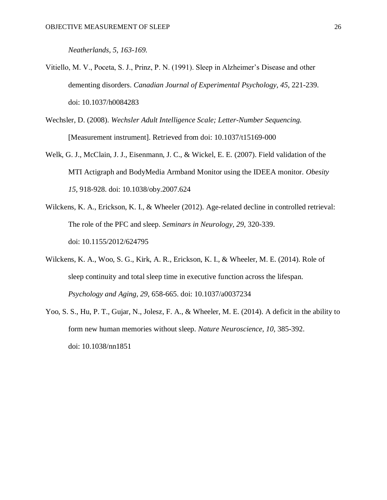*Neatherlands, 5, 163-169.*

- Vitiello, M. V., Poceta, S. J., Prinz, P. N. (1991). Sleep in Alzheimer's Disease and other dementing disorders. *Canadian Journal of Experimental Psychology, 45,* 221-239. doi: 10.1037/h0084283
- Wechsler, D. (2008). *Wechsler Adult Intelligence Scale; Letter-Number Sequencing.* [Measurement instrument]. Retrieved from doi: 10.1037/t15169-000
- Welk, G. J., McClain, J. J., Eisenmann, J. C., & Wickel, E. E. (2007). Field validation of the MTI Actigraph and BodyMedia Armband Monitor using the IDEEA monitor. *Obesity 15,* 918-928. doi: 10.1038/oby.2007.624
- Wilckens, K. A., Erickson, K. I., & Wheeler (2012). Age-related decline in controlled retrieval: The role of the PFC and sleep. *Seminars in Neurology, 29,* 320-339. doi: 10.1155/2012/624795
- Wilckens, K. A., Woo, S. G., Kirk, A. R., Erickson, K. I., & Wheeler, M. E. (2014). Role of sleep continuity and total sleep time in executive function across the lifespan. *Psychology and Aging, 29,* 658-665. doi: 10.1037/a0037234
- Yoo, S. S., Hu, P. T., Gujar, N., Jolesz, F. A., & Wheeler, M. E. (2014). A deficit in the ability to form new human memories without sleep. *Nature Neuroscience, 10,* 385-392. doi: 10.1038/nn1851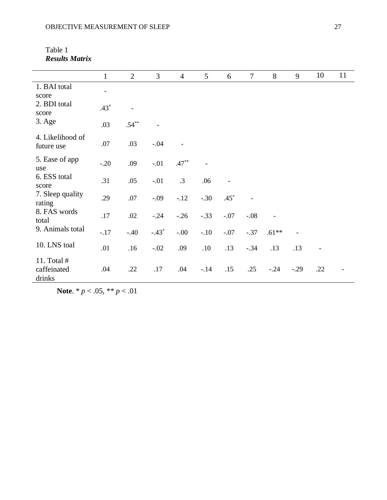| Table 1               |  |
|-----------------------|--|
| <b>Results Matrix</b> |  |

|                                      | $\mathbf{1}$             | $\overline{2}$ | $\overline{3}$ | $\overline{4}$ | $5\overline{)}$          | 6      | $\overline{7}$ | $8\,$                        | 9      | 10             | 11 |
|--------------------------------------|--------------------------|----------------|----------------|----------------|--------------------------|--------|----------------|------------------------------|--------|----------------|----|
| 1. BAI total<br>score                | $\overline{\phantom{a}}$ |                |                |                |                          |        |                |                              |        |                |    |
| 2. BDI total<br>score                | $.43*$                   | $\blacksquare$ |                |                |                          |        |                |                              |        |                |    |
| 3. Age                               | .03                      | $.54***$       |                |                |                          |        |                |                              |        |                |    |
| 4. Likelihood of<br>future use       | .07                      | .03            | $-.04$         |                |                          |        |                |                              |        |                |    |
| 5. Ease of app<br>use                | $-.20$                   | .09            | $-.01$         | $.47***$       | $\overline{\phantom{a}}$ |        |                |                              |        |                |    |
| 6. ESS total<br>score                | .31                      | .05            | $-.01$         | $\cdot$ 3      | .06                      |        |                |                              |        |                |    |
| 7. Sleep quality<br>rating           | .29                      | .07            | $-.09$         | $-.12$         | $-.30$                   | $.45*$ |                |                              |        |                |    |
| 8. FAS words<br>total                | .17                      | .02            | $-.24$         | $-.26$         | $-.33$                   | $-.07$ | $-.08$         | $\qquad \qquad \blacksquare$ |        |                |    |
| 9. Animals total                     | $-.17$                   | $-.40$         | $-.43*$        | $-.00$         | $-.10$                   | $-.07$ | $-.37$         | $.61**$                      |        |                |    |
| 10. LNS toal                         | .01                      | .16            | $-.02$         | .09            | $.10\,$                  | .13    | $-.34$         | .13                          | .13    | $\overline{a}$ |    |
| 11. Total #<br>caffeinated<br>drinks | .04                      | .22            | .17            | .04            | $-.14$                   | .15    | .25            | $-.24$                       | $-.29$ | .22            |    |

**Note**. \* *p* < .05, \*\* *p* < .01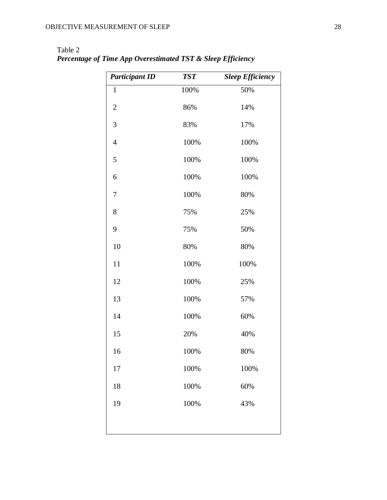| <b>Participant ID</b> | <b>TST</b> | <b>Sleep Efficiency</b> |
|-----------------------|------------|-------------------------|
| $\mathbf{1}$          | 100%       | 50%                     |
| $\mathbf{2}$          | 86%        | 14%                     |
| 3                     | 83%        | 17%                     |
| $\overline{4}$        | 100%       | 100%                    |
| 5                     | 100%       | 100%                    |
| 6                     | 100%       | 100%                    |
| 7                     | 100%       | 80%                     |
| 8                     | 75%        | 25%                     |
| 9                     | 75%        | 50%                     |
| 10                    | 80%        | 80%                     |
| 11                    | 100%       | 100%                    |
| 12                    | 100%       | 25%                     |
| 13                    | 100%       | 57%                     |
| 14                    | 100%       | 60%                     |
| 15                    | 20%        | 40%                     |
| 16                    | 100%       | 80%                     |
| 17                    | 100%       | 100%                    |
| 18                    | 100%       | 60%                     |
| 19                    | 100%       | 43%                     |
|                       |            |                         |
|                       |            |                         |

Table 2 *Percentage of Time App Overestimated TST & Sleep Efficiency*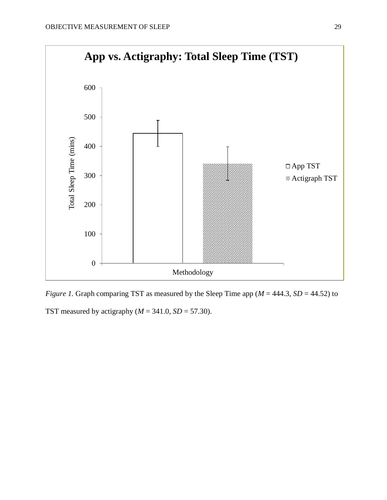

*Figure 1.* Graph comparing TST as measured by the Sleep Time app ( $M = 444.3$ ,  $SD = 44.52$ ) to TST measured by actigraphy  $(M = 341.0, SD = 57.30)$ .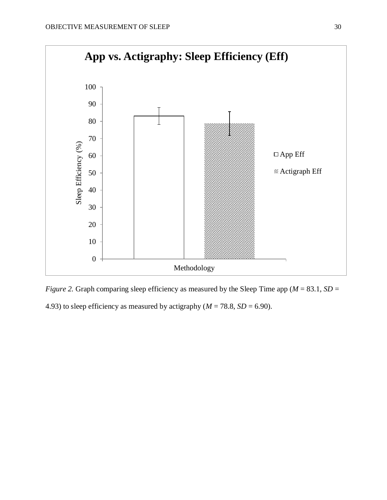

*Figure 2.* Graph comparing sleep efficiency as measured by the Sleep Time app ( $M = 83.1$ ,  $SD =$ 4.93) to sleep efficiency as measured by actigraphy ( $M = 78.8$ ,  $SD = 6.90$ ).